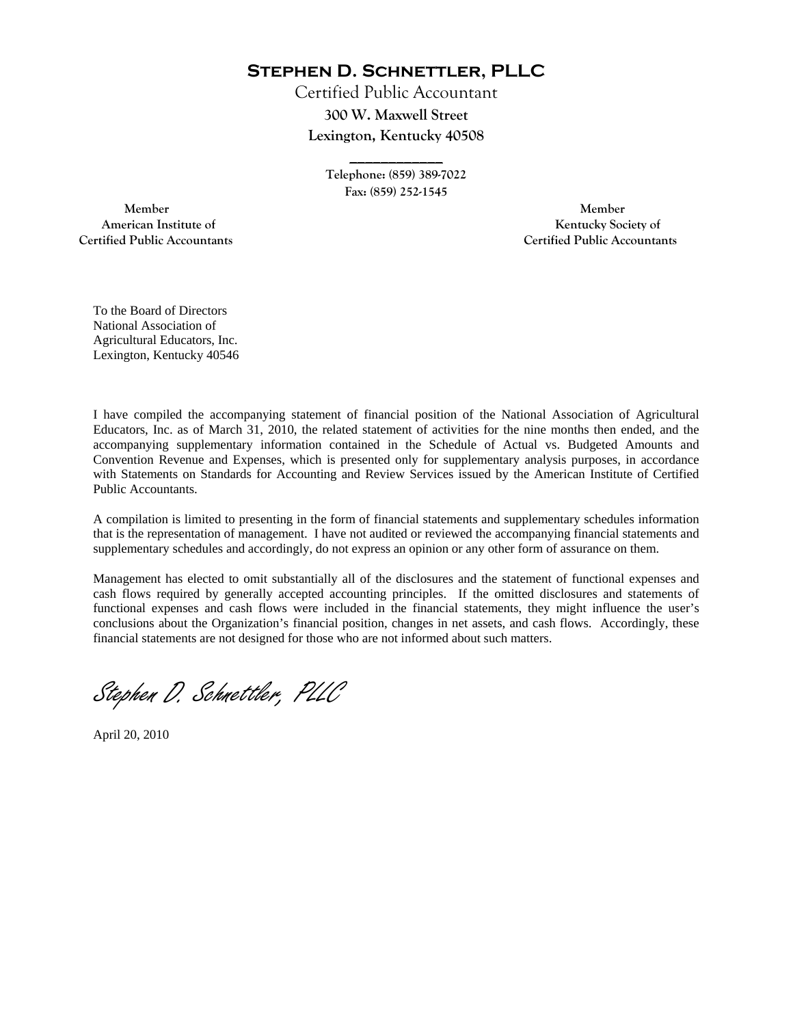**Stephen D. Schnettler, PLLC**

Certified Public Accountant **300 W. Maxwell Street Lexington, Kentucky 40508** 

> **\_\_\_\_\_\_\_\_\_\_\_\_ Telephone: (859) 389-7022 Fax: (859) 252-1545**

 **Member Member Certified Public Accountants Certified Public Accountants** 

American Institute of **Kentucky Society of** 

To the Board of Directors National Association of Agricultural Educators, Inc. Lexington, Kentucky 40546

I have compiled the accompanying statement of financial position of the National Association of Agricultural Educators, Inc. as of March 31, 2010, the related statement of activities for the nine months then ended, and the accompanying supplementary information contained in the Schedule of Actual vs. Budgeted Amounts and Convention Revenue and Expenses, which is presented only for supplementary analysis purposes, in accordance with Statements on Standards for Accounting and Review Services issued by the American Institute of Certified Public Accountants.

A compilation is limited to presenting in the form of financial statements and supplementary schedules information that is the representation of management. I have not audited or reviewed the accompanying financial statements and supplementary schedules and accordingly, do not express an opinion or any other form of assurance on them.

Management has elected to omit substantially all of the disclosures and the statement of functional expenses and cash flows required by generally accepted accounting principles. If the omitted disclosures and statements of functional expenses and cash flows were included in the financial statements, they might influence the user's conclusions about the Organization's financial position, changes in net assets, and cash flows. Accordingly, these financial statements are not designed for those who are not informed about such matters.

Stephen D. Schnettler, PLLC

April 20, 2010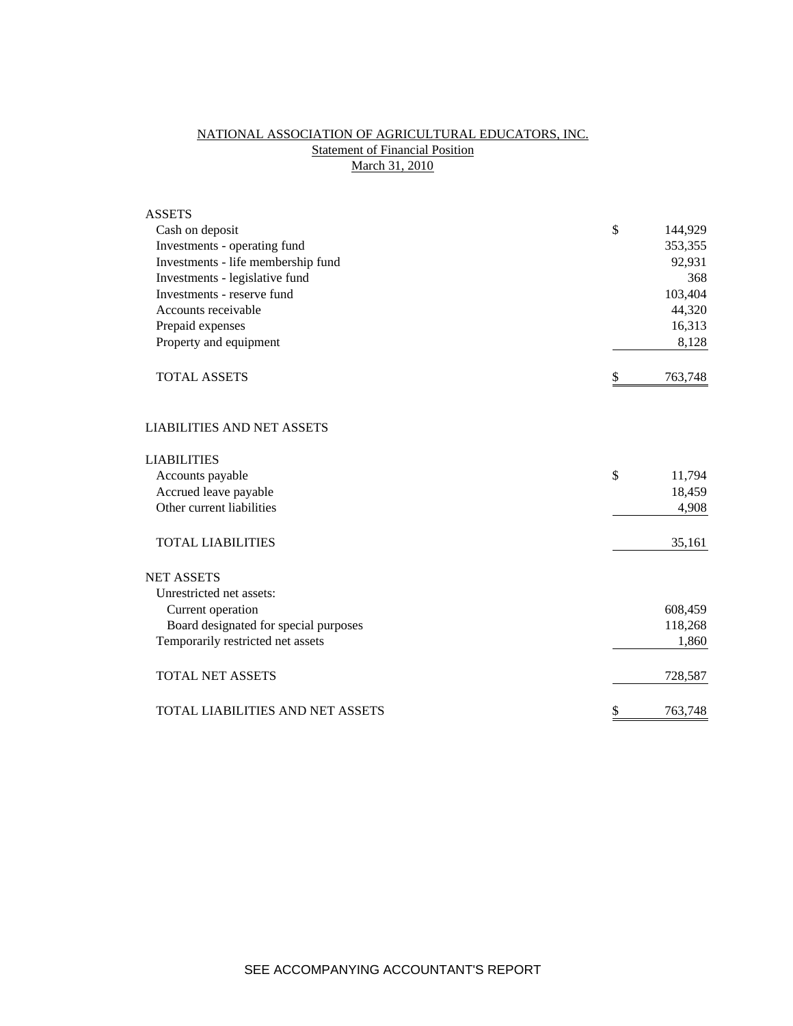## NATIONAL ASSOCIATION OF AGRICULTURAL EDUCATORS, INC. **Statement of Financial Position** March 31, 2010

| <b>ASSETS</b>                         |               |
|---------------------------------------|---------------|
| Cash on deposit                       | \$<br>144,929 |
| Investments - operating fund          | 353,355       |
| Investments - life membership fund    | 92,931        |
| Investments - legislative fund        | 368           |
| Investments - reserve fund            | 103,404       |
| Accounts receivable                   | 44,320        |
| Prepaid expenses                      | 16,313        |
| Property and equipment                | 8,128         |
| <b>TOTAL ASSETS</b>                   | \$<br>763,748 |
| <b>LIABILITIES AND NET ASSETS</b>     |               |
| <b>LIABILITIES</b>                    |               |
| Accounts payable                      | \$<br>11,794  |
| Accrued leave payable                 | 18,459        |
| Other current liabilities             | 4,908         |
| <b>TOTAL LIABILITIES</b>              | 35,161        |
| <b>NET ASSETS</b>                     |               |
| Unrestricted net assets:              |               |
| Current operation                     | 608,459       |
| Board designated for special purposes | 118,268       |
| Temporarily restricted net assets     | 1,860         |
| <b>TOTAL NET ASSETS</b>               | 728,587       |
| TOTAL LIABILITIES AND NET ASSETS      | \$<br>763,748 |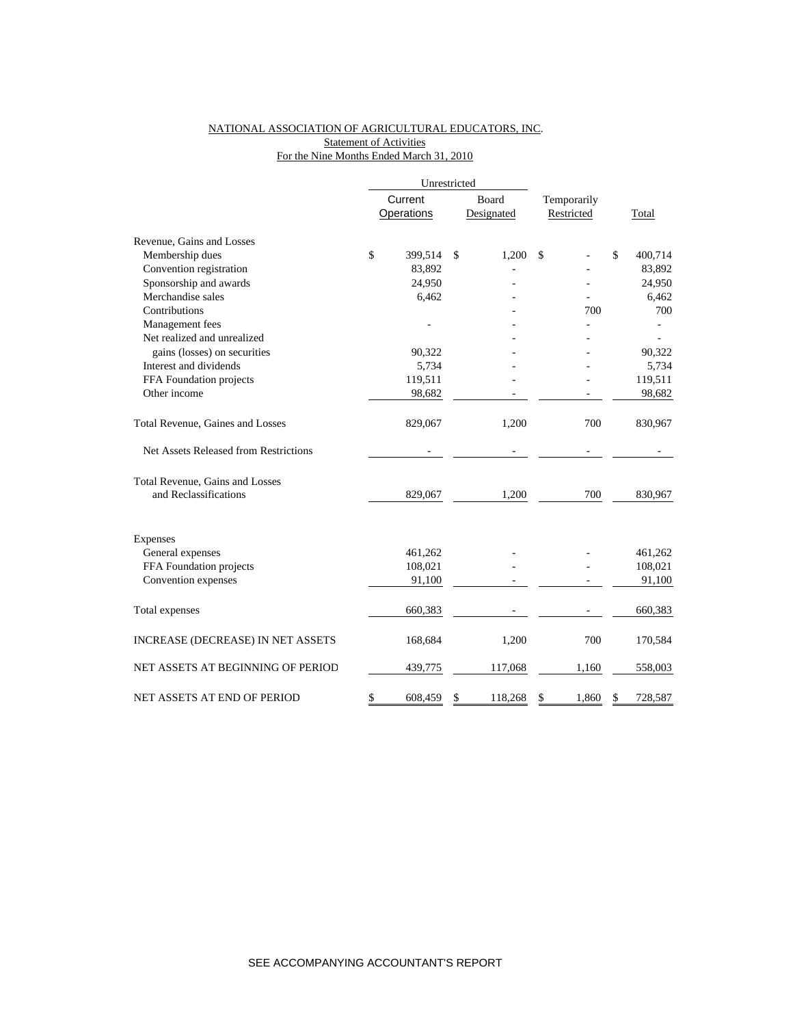## NATIONAL ASSOCIATION OF AGRICULTURAL EDUCATORS, INC. **Statement of Activities** For the Nine Months Ended March 31, 2010

|                                       |         | Unrestricted      |               |             |            |    |         |
|---------------------------------------|---------|-------------------|---------------|-------------|------------|----|---------|
|                                       | Current |                   | Board         | Temporarily |            |    |         |
|                                       |         | <b>Operations</b> | Designated    |             | Restricted |    | Total   |
| Revenue, Gains and Losses             |         |                   |               |             |            |    |         |
| Membership dues                       | \$      | 399,514           | \$<br>1,200   | \$          |            | \$ | 400,714 |
| Convention registration               |         | 83,892            |               |             |            |    | 83,892  |
| Sponsorship and awards                |         | 24,950            |               |             |            |    | 24,950  |
| Merchandise sales                     |         | 6,462             |               |             |            |    | 6,462   |
| Contributions                         |         |                   |               |             | 700        |    | 700     |
| Management fees                       |         |                   |               |             |            |    |         |
| Net realized and unrealized           |         |                   |               |             |            |    |         |
| gains (losses) on securities          |         | 90,322            |               |             |            |    | 90,322  |
| Interest and dividends                |         | 5,734             |               |             |            |    | 5,734   |
| FFA Foundation projects               |         | 119,511           |               |             |            |    | 119,511 |
| Other income                          |         | 98,682            |               |             |            |    | 98,682  |
| Total Revenue, Gaines and Losses      |         | 829,067           | 1,200         |             | 700        |    | 830,967 |
| Net Assets Released from Restrictions |         |                   |               |             |            |    |         |
| Total Revenue, Gains and Losses       |         |                   |               |             |            |    |         |
| and Reclassifications                 |         | 829,067           | 1,200         |             | 700        |    | 830,967 |
| Expenses                              |         |                   |               |             |            |    |         |
| General expenses                      |         | 461,262           |               |             |            |    | 461,262 |
| FFA Foundation projects               |         | 108,021           |               |             |            |    | 108,021 |
| Convention expenses                   |         | 91,100            |               |             |            |    | 91,100  |
|                                       |         |                   |               |             |            |    | 660,383 |
| Total expenses                        |         | 660,383           |               |             |            |    |         |
| INCREASE (DECREASE) IN NET ASSETS     |         | 168,684           | 1,200         |             | 700        |    | 170,584 |
| NET ASSETS AT BEGINNING OF PERIOD     |         | 439,775           | 117,068       |             | 1,160      |    | 558,003 |
| NET ASSETS AT END OF PERIOD           | \$      | 608,459           | \$<br>118,268 | \$          | 1,860      | \$ | 728,587 |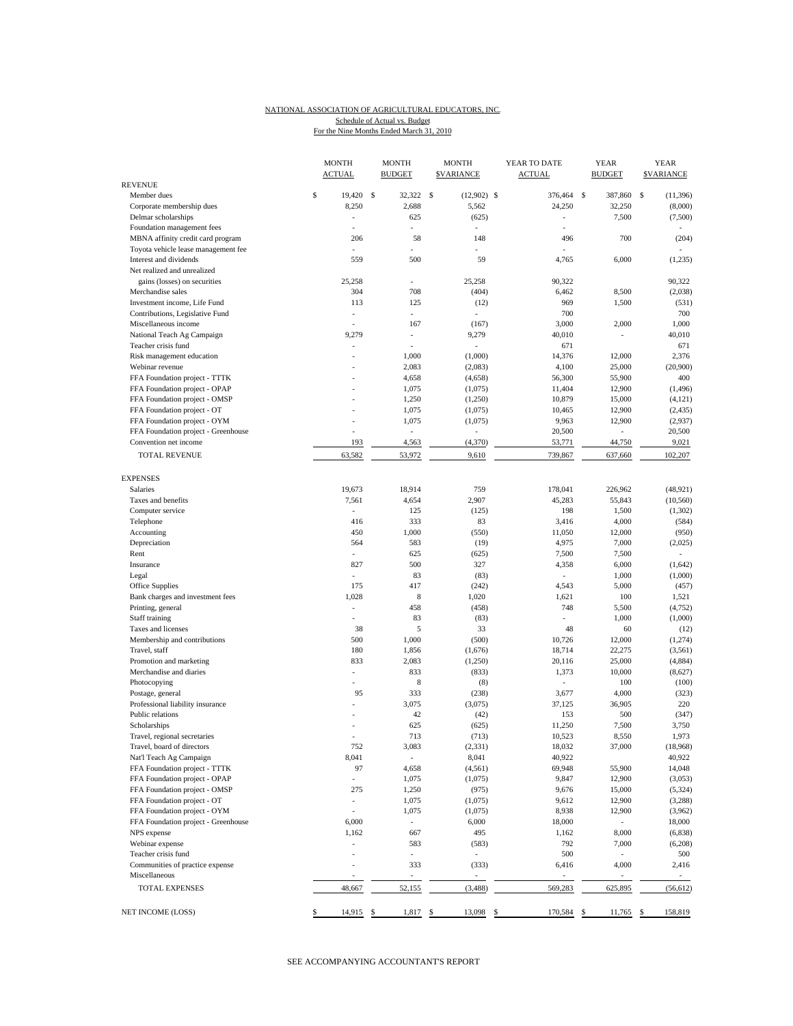## NATIONAL ASSOCIATION OF AGRICULTURAL EDUCATORS, INC. For the Nine Months Ended March 31, 2010 Schedule of Actual vs. Budget

|                                     | <b>MONTH</b><br><b>ACTUAL</b> | <b>MONTH</b><br><b>MONTH</b><br><b>BUDGET</b><br><b>SVARIANCE</b> |                                | YEAR TO DATE<br><b>ACTUAL</b> | <b>YEAR</b><br><b>BUDGET</b> | <b>YEAR</b><br><b><i>SVARIANCE</i></b> |  |
|-------------------------------------|-------------------------------|-------------------------------------------------------------------|--------------------------------|-------------------------------|------------------------------|----------------------------------------|--|
| <b>REVENUE</b><br>Member dues       | \$<br>19.420                  | \$<br>32.322                                                      | $\mathcal{S}$<br>$(12,902)$ \$ | 376,464                       | S<br>387,860                 | s<br>(11, 396)                         |  |
| Corporate membership dues           | 8,250                         | 2,688                                                             | 5,562                          | 24,250                        | 32,250                       | (8,000)                                |  |
| Delmar scholarships                 | $\overline{a}$                | 625                                                               | (625)                          | ÷,                            | 7,500                        | (7,500)                                |  |
| Foundation management fees          |                               |                                                                   |                                |                               |                              |                                        |  |
| MBNA affinity credit card program   | 206                           | 58                                                                | 148                            | 496                           | 700                          | (204)                                  |  |
| Toyota vehicle lease management fee | $\overline{a}$                |                                                                   |                                |                               |                              |                                        |  |
| Interest and dividends              | 559                           | 500                                                               | 59                             | 4,765                         | 6,000                        | (1,235)                                |  |
| Net realized and unrealized         |                               |                                                                   |                                |                               |                              |                                        |  |
| gains (losses) on securities        | 25,258                        |                                                                   | 25,258                         | 90,322                        |                              | 90,322                                 |  |
| Merchandise sales                   | 304                           | 708                                                               | (404)                          | 6,462                         | 8,500                        | (2,038)                                |  |
| Investment income, Life Fund        | 113                           | 125                                                               | (12)                           | 969                           | 1,500                        | (531)                                  |  |
| Contributions, Legislative Fund     | ۰                             | ٠                                                                 |                                | 700                           |                              | 700                                    |  |
| Miscellaneous income                |                               | 167                                                               | (167)                          | 3,000                         | 2,000                        | 1,000                                  |  |
| National Teach Ag Campaign          | 9,279                         | ÷,                                                                | 9,279                          | 40,010                        |                              | 40,010                                 |  |
| Teacher crisis fund                 |                               | ÷,                                                                | ÷.                             | 671                           |                              | 671                                    |  |
| Risk management education           | ٠                             | 1,000                                                             | (1,000)                        | 14,376                        | 12,000                       | 2,376                                  |  |
| Webinar revenue                     |                               | 2,083                                                             | (2,083)                        | 4,100                         | 25,000                       | (20,900)                               |  |
| FFA Foundation project - TTTK       | ÷.                            | 4,658                                                             | (4,658)                        | 56,300                        | 55,900                       | 400                                    |  |
| FFA Foundation project - OPAP       |                               | 1,075                                                             | (1,075)                        | 11,404                        | 12,900                       | (1, 496)                               |  |
| FFA Foundation project - OMSP       | $\overline{a}$                | 1,250                                                             | (1,250)                        | 10,879                        | 15,000                       | (4, 121)                               |  |
| FFA Foundation project - OT         | $\overline{a}$                | 1,075                                                             | (1,075)                        | 10,465                        | 12,900                       | (2, 435)                               |  |
| FFA Foundation project - OYM        | $\overline{a}$                | 1,075                                                             | (1,075)                        | 9,963                         | 12,900                       | (2,937)                                |  |
| FFA Foundation project - Greenhouse |                               | L.                                                                |                                | 20,500                        | L,                           | 20,500                                 |  |
| Convention net income               | 193                           | 4,563                                                             | (4,370)                        | 53,771                        | 44,750                       | 9,021                                  |  |
| TOTAL REVENUE                       | 63,582                        | 53,972                                                            | 9,610                          | 739,867                       | 637,660                      | 102,207                                |  |
|                                     |                               |                                                                   |                                |                               |                              |                                        |  |
| <b>EXPENSES</b>                     |                               |                                                                   |                                |                               |                              |                                        |  |
| <b>Salaries</b>                     | 19.673                        | 18,914                                                            | 759                            | 178,041                       | 226,962                      | (48, 921)                              |  |
| Taxes and benefits                  | 7,561                         | 4,654                                                             | 2,907                          | 45,283                        | 55,843                       | (10, 560)                              |  |
| Computer service                    | $\overline{a}$                | 125                                                               | (125)                          | 198                           | 1,500                        | (1,302)                                |  |
| Telephone                           | 416                           | 333                                                               | 83                             | 3,416                         | 4,000                        | (584)                                  |  |
| Accounting                          | 450                           | 1,000                                                             | (550)                          | 11,050                        | 12,000                       | (950)                                  |  |
| Depreciation                        | 564                           | 583                                                               | (19)                           | 4,975                         | 7,000                        | (2,025)                                |  |
| Rent                                |                               | 625                                                               | (625)                          | 7,500                         | 7,500                        |                                        |  |
| Insurance                           | 827                           | 500                                                               | 327                            | 4,358                         | 6,000                        | (1,642)                                |  |
| Legal                               | $\overline{a}$                | 83                                                                | (83)                           | $\overline{a}$                | 1,000                        | (1,000)                                |  |
| Office Supplies                     | 175                           | 417                                                               | (242)                          | 4,543                         | 5,000                        | (457)                                  |  |
| Bank charges and investment fees    | 1,028                         | 8                                                                 | 1,020                          | 1,621                         | 100                          | 1,521                                  |  |
| Printing, general                   | L,                            | 458                                                               | (458)                          | 748                           | 5,500                        | (4, 752)                               |  |
| Staff training                      | $\overline{a}$                | 83                                                                | (83)                           | $\overline{a}$                | 1,000                        | (1,000)                                |  |
| Taxes and licenses                  | 38                            | 5                                                                 | 33                             | 48                            | 60                           | (12)                                   |  |
| Membership and contributions        | 500                           | 1,000                                                             | (500)                          | 10,726                        | 12,000                       | (1,274)                                |  |
| Travel, staff                       | 180                           | 1,856                                                             | (1,676)                        | 18,714                        | 22,275                       | (3, 561)                               |  |
| Promotion and marketing             | 833                           | 2,083                                                             | (1,250)                        | 20,116                        | 25,000                       | (4,884)                                |  |
| Merchandise and diaries             | $\overline{a}$                | 833                                                               | (833)                          | 1,373                         | 10,000                       | (8,627)                                |  |
| Photocopying                        | ÷.                            | 8                                                                 | (8)                            |                               | 100                          | (100)                                  |  |
| Postage, general                    | 95                            | 333                                                               | (238)                          | 3,677                         | 4,000                        | (323)                                  |  |
| Professional liability insurance    |                               | 3,075                                                             | (3,075)                        | 37,125                        | 36,905                       | 220                                    |  |
| Public relations                    |                               | 42                                                                | (42)                           | 153                           | 500                          | (347)                                  |  |
| Scholarships                        | ÷,                            | 625                                                               | (625)                          | 11,250                        | 7,500                        | 3,750                                  |  |
| Travel, regional secretaries        |                               | 713                                                               | (713)                          | 10,523                        | 8,550                        | 1,973                                  |  |
| Travel, board of directors          | 752                           | 3,083                                                             | (2, 331)                       | 18,032                        | 37,000                       | (18,968)                               |  |
| Nat'l Teach Ag Campaign             | 8,041                         | $\overline{\phantom{a}}$                                          | 8,041                          | 40,922                        |                              | 40,922                                 |  |
| FFA Foundation project - TTTK       | 97                            | 4,658                                                             | (4, 561)                       | 69,948                        | 55,900                       | 14,048                                 |  |
| FFA Foundation project - OPAP       |                               | 1,075                                                             | (1,075)                        | 9,847                         | 12,900                       | (3,053)                                |  |
| FFA Foundation project - OMSP       | 275                           | 1,250                                                             | (975)                          | 9,676                         | 15,000                       | (5,324)                                |  |
| FFA Foundation project - OT         | $\overline{a}$                | 1,075                                                             | (1,075)                        | 9,612                         | 12,900                       | (3,288)                                |  |
| FFA Foundation project - OYM        | $\overline{a}$                | 1,075                                                             | (1,075)                        | 8,938                         | 12,900                       | (3,962)                                |  |
| FFA Foundation project - Greenhouse | 6,000                         | $\overline{\phantom{a}}$                                          | 6,000                          | 18,000                        | $\sim$                       | 18,000                                 |  |
| NPS expense                         | 1,162                         | 667                                                               | 495                            | 1,162                         | 8,000                        | (6, 838)                               |  |
| Webinar expense                     | ÷.                            | 583                                                               | (583)                          | 792                           | 7,000                        | (6,208)                                |  |
| Teacher crisis fund                 | $\overline{a}$                | $\blacksquare$                                                    | $\overline{\phantom{a}}$       | 500                           |                              | 500                                    |  |
| Communities of practice expense     | $\overline{a}$                | 333                                                               | (333)                          | 6,416                         | 4,000                        | 2,416                                  |  |
| Miscellaneous                       |                               |                                                                   |                                |                               |                              |                                        |  |
| <b>TOTAL EXPENSES</b>               | 48,667                        | 52,155                                                            | (3, 488)                       | 569,283                       | 625,895                      | (56, 612)                              |  |
| NET INCOME (LOSS)                   | 14,915 \$<br>\$               | 1,817 \$                                                          | 13,098 \$                      | 170,584 \$                    | 11,765 \$                    | 158,819                                |  |